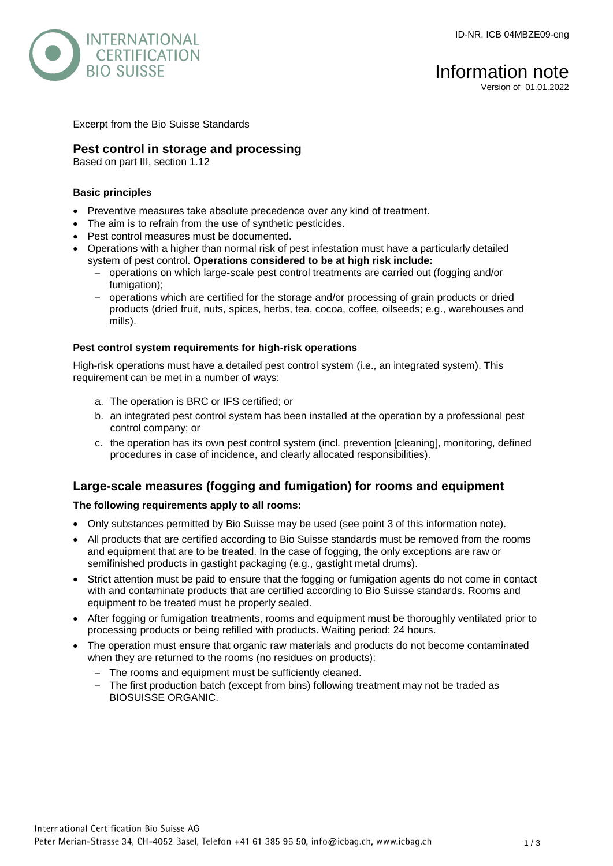

# Information note

Version of 01.01.2022

Excerpt from the Bio Suisse Standards

## **Pest control in storage and processing**

Based on part III, section 1.12

#### **Basic principles**

- Preventive measures take absolute precedence over any kind of treatment.
- The aim is to refrain from the use of synthetic pesticides.
- Pest control measures must be documented.
- Operations with a higher than normal risk of pest infestation must have a particularly detailed system of pest control. **Operations considered to be at high risk include:**
	- operations on which large-scale pest control treatments are carried out (fogging and/or fumigation);
	- operations which are certified for the storage and/or processing of grain products or dried products (dried fruit, nuts, spices, herbs, tea, cocoa, coffee, oilseeds; e.g., warehouses and mills).

#### **Pest control system requirements for high-risk operations**

High-risk operations must have a detailed pest control system (i.e., an integrated system). This requirement can be met in a number of ways:

- a. The operation is BRC or IFS certified; or
- b. an integrated pest control system has been installed at the operation by a professional pest control company; or
- c. the operation has its own pest control system (incl. prevention [cleaning], monitoring, defined procedures in case of incidence, and clearly allocated responsibilities).

## **Large-scale measures (fogging and fumigation) for rooms and equipment**

#### **The following requirements apply to all rooms:**

- Only substances permitted by Bio Suisse may be used (see point 3 of this information note).
- All products that are certified according to Bio Suisse standards must be removed from the rooms and equipment that are to be treated. In the case of fogging, the only exceptions are raw or semifinished products in gastight packaging (e.g., gastight metal drums).
- Strict attention must be paid to ensure that the fogging or fumigation agents do not come in contact with and contaminate products that are certified according to Bio Suisse standards. Rooms and equipment to be treated must be properly sealed.
- After fogging or fumigation treatments, rooms and equipment must be thoroughly ventilated prior to processing products or being refilled with products. Waiting period: 24 hours.
- The operation must ensure that organic raw materials and products do not become contaminated when they are returned to the rooms (no residues on products):
	- The rooms and equipment must be sufficiently cleaned.
	- The first production batch (except from bins) following treatment may not be traded as BIOSUISSE ORGANIC.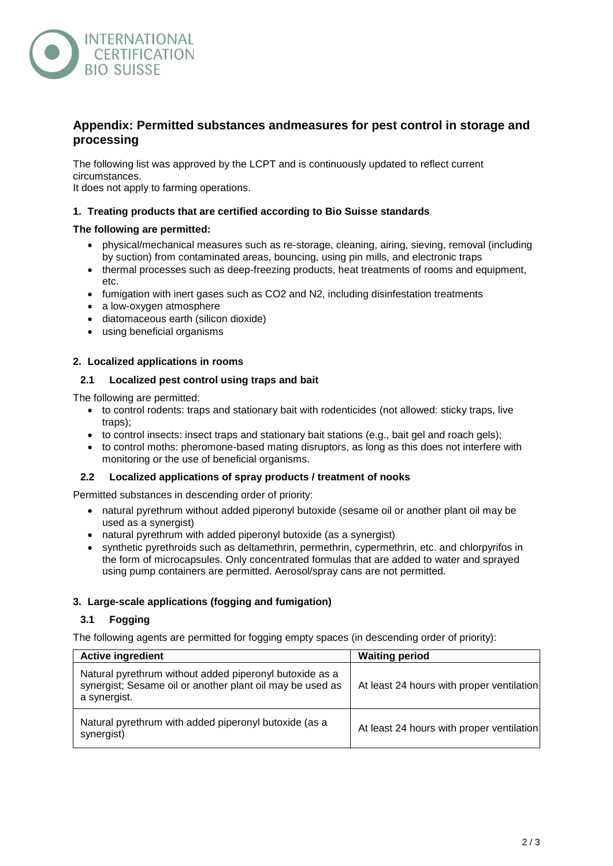

# **Appendix: Permitted substances andmeasures for pest control in storage and processing**

The following list was approved by the LCPT and is continuously updated to reflect current circumstances.

It does not apply to farming operations.

#### **1. Treating products that are certified according to Bio Suisse standards**

#### **The following are permitted:**

- physical/mechanical measures such as re-storage, cleaning, airing, sieving, removal (including by suction) from contaminated areas, bouncing, using pin mills, and electronic traps
- thermal processes such as deep-freezing products, heat treatments of rooms and equipment, etc.
- fumigation with inert gases such as CO2 and N2, including disinfestation treatments
- a low-oxygen atmosphere
- diatomaceous earth (silicon dioxide)
- using beneficial organisms

#### **2. Localized applications in rooms**

#### **2.1 Localized pest control using traps and bait**

The following are permitted:

- to control rodents: traps and stationary bait with rodenticides (not allowed: sticky traps, live traps);
- to control insects: insect traps and stationary bait stations (e.g., bait gel and roach gels);
- to control moths: pheromone-based mating disruptors, as long as this does not interfere with monitoring or the use of beneficial organisms.

#### **2.2 Localized applications of spray products / treatment of nooks**

Permitted substances in descending order of priority:

- natural pyrethrum without added piperonyl butoxide (sesame oil or another plant oil may be used as a synergist)
- natural pyrethrum with added piperonyl butoxide (as a synergist)
- synthetic pyrethroids such as deltamethrin, permethrin, cypermethrin, etc. and chlorpyrifos in the form of microcapsules. Only concentrated formulas that are added to water and sprayed using pump containers are permitted. Aerosol/spray cans are not permitted.

#### **3. Large-scale applications (fogging and fumigation)**

#### **3.1 Fogging**

The following agents are permitted for fogging empty spaces (in descending order of priority):

| <b>Active ingredient</b>                                                                                                             | <b>Waiting period</b>                     |
|--------------------------------------------------------------------------------------------------------------------------------------|-------------------------------------------|
| Natural pyrethrum without added piperonyl butoxide as a<br>synergist; Sesame oil or another plant oil may be used as<br>a synergist. | At least 24 hours with proper ventilation |
| Natural pyrethrum with added piperonyl butoxide (as a<br>synergist)                                                                  | At least 24 hours with proper ventilation |